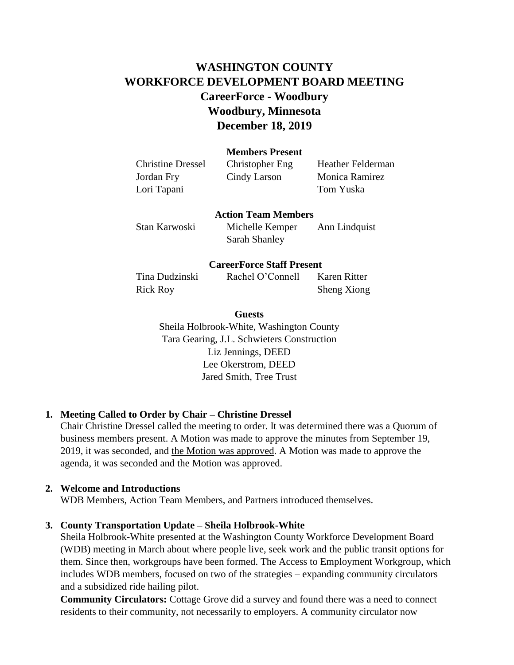# **WASHINGTON COUNTY WORKFORCE DEVELOPMENT BOARD MEETING CareerForce - Woodbury Woodbury, Minnesota December 18, 2019**

|                            | <b>Members Present</b> |                       |
|----------------------------|------------------------|-----------------------|
| <b>Christine Dressel</b>   | Christopher Eng        | Heather Felderman     |
| Jordan Fry                 | Cindy Larson           | <b>Monica Ramirez</b> |
| Lori Tapani                |                        | Tom Yuska             |
| <b>Action Team Members</b> |                        |                       |

Stan Karwoski Michelle Kemper Ann Lindquist Sarah Shanley

#### **CareerForce Staff Present**

Tina Dudzinski Rachel O'Connell Karen Ritter Rick Roy Sheng Xiong

#### **Guests**

Sheila Holbrook-White, Washington County Tara Gearing, J.L. Schwieters Construction Liz Jennings, DEED Lee Okerstrom, DEED Jared Smith, Tree Trust

# **1. Meeting Called to Order by Chair – Christine Dressel**

Chair Christine Dressel called the meeting to order. It was determined there was a Quorum of business members present. A Motion was made to approve the minutes from September 19, 2019, it was seconded, and the Motion was approved. A Motion was made to approve the agenda, it was seconded and the Motion was approved.

#### **2. Welcome and Introductions**

WDB Members, Action Team Members, and Partners introduced themselves.

# **3. County Transportation Update – Sheila Holbrook-White**

Sheila Holbrook-White presented at the Washington County Workforce Development Board (WDB) meeting in March about where people live, seek work and the public transit options for them. Since then, workgroups have been formed. The Access to Employment Workgroup, which includes WDB members, focused on two of the strategies – expanding community circulators and a subsidized ride hailing pilot.

**Community Circulators:** Cottage Grove did a survey and found there was a need to connect residents to their community, not necessarily to employers. A community circulator now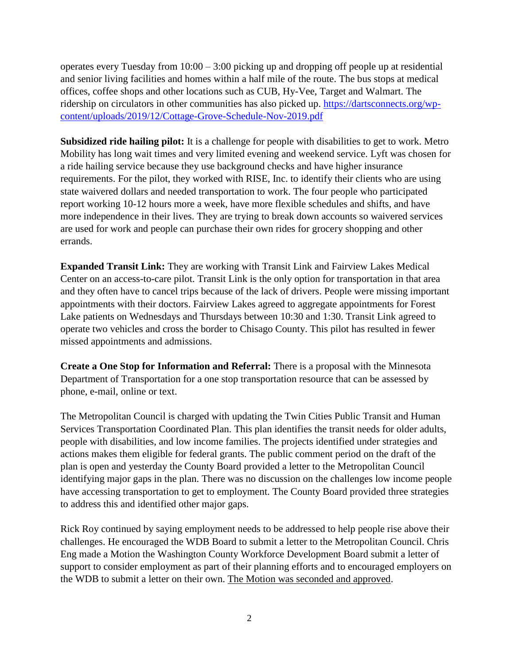operates every Tuesday from 10:00 – 3:00 picking up and dropping off people up at residential and senior living facilities and homes within a half mile of the route. The bus stops at medical offices, coffee shops and other locations such as CUB, Hy-Vee, Target and Walmart. The ridership on circulators in other communities has also picked up. [https://dartsconnects.org/wp](https://dartsconnects.org/wp-content/uploads/2019/12/Cottage-Grove-Schedule-Nov-2019.pdf)[content/uploads/2019/12/Cottage-Grove-Schedule-Nov-2019.pdf](https://dartsconnects.org/wp-content/uploads/2019/12/Cottage-Grove-Schedule-Nov-2019.pdf)

**Subsidized ride hailing pilot:** It is a challenge for people with disabilities to get to work. Metro Mobility has long wait times and very limited evening and weekend service. Lyft was chosen for a ride hailing service because they use background checks and have higher insurance requirements. For the pilot, they worked with RISE, Inc. to identify their clients who are using state waivered dollars and needed transportation to work. The four people who participated report working 10-12 hours more a week, have more flexible schedules and shifts, and have more independence in their lives. They are trying to break down accounts so waivered services are used for work and people can purchase their own rides for grocery shopping and other errands.

**Expanded Transit Link:** They are working with Transit Link and Fairview Lakes Medical Center on an access-to-care pilot. Transit Link is the only option for transportation in that area and they often have to cancel trips because of the lack of drivers. People were missing important appointments with their doctors. Fairview Lakes agreed to aggregate appointments for Forest Lake patients on Wednesdays and Thursdays between 10:30 and 1:30. Transit Link agreed to operate two vehicles and cross the border to Chisago County. This pilot has resulted in fewer missed appointments and admissions.

**Create a One Stop for Information and Referral:** There is a proposal with the Minnesota Department of Transportation for a one stop transportation resource that can be assessed by phone, e-mail, online or text.

The Metropolitan Council is charged with updating the Twin Cities Public Transit and Human Services Transportation Coordinated Plan. This plan identifies the transit needs for older adults, people with disabilities, and low income families. The projects identified under strategies and actions makes them eligible for federal grants. The public comment period on the draft of the plan is open and yesterday the County Board provided a letter to the Metropolitan Council identifying major gaps in the plan. There was no discussion on the challenges low income people have accessing transportation to get to employment. The County Board provided three strategies to address this and identified other major gaps.

Rick Roy continued by saying employment needs to be addressed to help people rise above their challenges. He encouraged the WDB Board to submit a letter to the Metropolitan Council. Chris Eng made a Motion the Washington County Workforce Development Board submit a letter of support to consider employment as part of their planning efforts and to encouraged employers on the WDB to submit a letter on their own. The Motion was seconded and approved.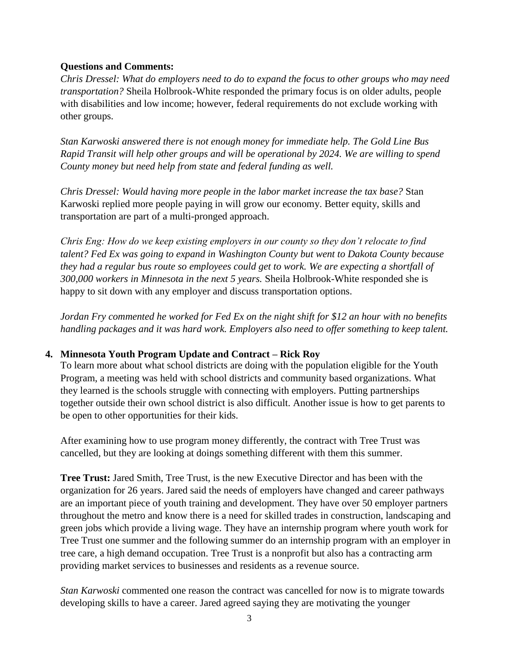#### **Questions and Comments:**

*Chris Dressel: What do employers need to do to expand the focus to other groups who may need transportation?* Sheila Holbrook-White responded the primary focus is on older adults, people with disabilities and low income; however, federal requirements do not exclude working with other groups.

*Stan Karwoski answered there is not enough money for immediate help. The Gold Line Bus Rapid Transit will help other groups and will be operational by 2024. We are willing to spend County money but need help from state and federal funding as well.*

*Chris Dressel: Would having more people in the labor market increase the tax base?* Stan Karwoski replied more people paying in will grow our economy. Better equity, skills and transportation are part of a multi-pronged approach.

*Chris Eng: How do we keep existing employers in our county so they don't relocate to find talent? Fed Ex was going to expand in Washington County but went to Dakota County because they had a regular bus route so employees could get to work. We are expecting a shortfall of 300,000 workers in Minnesota in the next 5 years.* Sheila Holbrook-White responded she is happy to sit down with any employer and discuss transportation options.

*Jordan Fry commented he worked for Fed Ex on the night shift for \$12 an hour with no benefits handling packages and it was hard work. Employers also need to offer something to keep talent.* 

# **4. Minnesota Youth Program Update and Contract – Rick Roy**

To learn more about what school districts are doing with the population eligible for the Youth Program, a meeting was held with school districts and community based organizations. What they learned is the schools struggle with connecting with employers. Putting partnerships together outside their own school district is also difficult. Another issue is how to get parents to be open to other opportunities for their kids.

After examining how to use program money differently, the contract with Tree Trust was cancelled, but they are looking at doings something different with them this summer.

**Tree Trust:** Jared Smith, Tree Trust, is the new Executive Director and has been with the organization for 26 years. Jared said the needs of employers have changed and career pathways are an important piece of youth training and development. They have over 50 employer partners throughout the metro and know there is a need for skilled trades in construction, landscaping and green jobs which provide a living wage. They have an internship program where youth work for Tree Trust one summer and the following summer do an internship program with an employer in tree care, a high demand occupation. Tree Trust is a nonprofit but also has a contracting arm providing market services to businesses and residents as a revenue source.

*Stan Karwoski* commented one reason the contract was cancelled for now is to migrate towards developing skills to have a career. Jared agreed saying they are motivating the younger